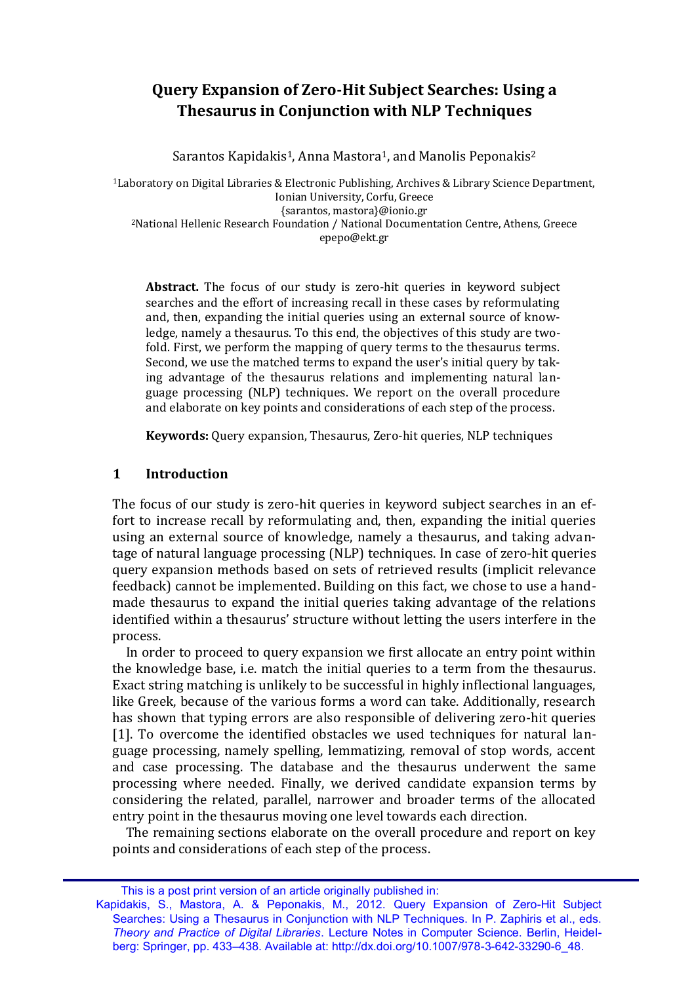# **Query Expansion of Zero-Hit Subject Searches: Using a Thesaurus in Conjunction with NLP Techniques**

Sarantos Kapidakis<sup>1</sup>, Anna Mastora<sup>1</sup>, and Manolis Peponakis<sup>2</sup>

<sup>1</sup>Laboratory on Digital Libraries & Electronic Publishing, Archives & Library Science Department, Ionian University, Corfu, Greece {sarantos, mastora}@ionio.gr <sup>2</sup>National Hellenic Research Foundation / National Documentation Centre, Athens, Greece epepo@ekt.gr

**Abstract.** The focus of our study is zero-hit queries in keyword subject searches and the effort of increasing recall in these cases by reformulating and, then, expanding the initial queries using an external source of knowledge, namely a thesaurus. To this end, the objectives of this study are twofold. First, we perform the mapping of query terms to the thesaurus terms. Second, we use the matched terms to expand the user's initial query by taking advantage of the thesaurus relations and implementing natural language processing (NLP) techniques. We report on the overall procedure and elaborate on key points and considerations of each step of the process.

**Keywords:** Query expansion, Thesaurus, Zero-hit queries, NLP techniques

#### **1 Introduction**

The focus of our study is zero-hit queries in keyword subject searches in an effort to increase recall by reformulating and, then, expanding the initial queries using an external source of knowledge, namely a thesaurus, and taking advantage of natural language processing (NLP) techniques. In case of zero-hit queries query expansion methods based on sets of retrieved results (implicit relevance feedback) cannot be implemented. Building on this fact, we chose to use a handmade thesaurus to expand the initial queries taking advantage of the relations identified within a thesaurus' structure without letting the users interfere in the process.

In order to proceed to query expansion we first allocate an entry point within the knowledge base, i.e. match the initial queries to a term from the thesaurus. Exact string matching is unlikely to be successful in highly inflectional languages, like Greek, because of the various forms a word can take. Additionally, research has shown that typing errors are also responsible of delivering zero-hit queries [1]. To overcome the identified obstacles we used techniques for natural language processing, namely spelling, lemmatizing, removal of stop words, accent and case processing. The database and the thesaurus underwent the same processing where needed. Finally, we derived candidate expansion terms by considering the related, parallel, narrower and broader terms of the allocated entry point in the thesaurus moving one level towards each direction.

The remaining sections elaborate on the overall procedure and report on key points and considerations of each step of the process.

This is a post print version of an article originally published in: Kapidakis, S., Mastora, A. & Peponakis, M., 2012. Query Expansion of Zero-Hit Subject Searches: Using a Thesaurus in Conjunction with NLP Techniques. In P. Zaphiris et al., eds. *Theory and Practice of Digital Libraries*. Lecture Notes in Computer Science. Berlin, Heidelberg: Springer, pp. 433–438. Available at: http://dx.doi.org/10.1007/978-3-642-33290-6\_48.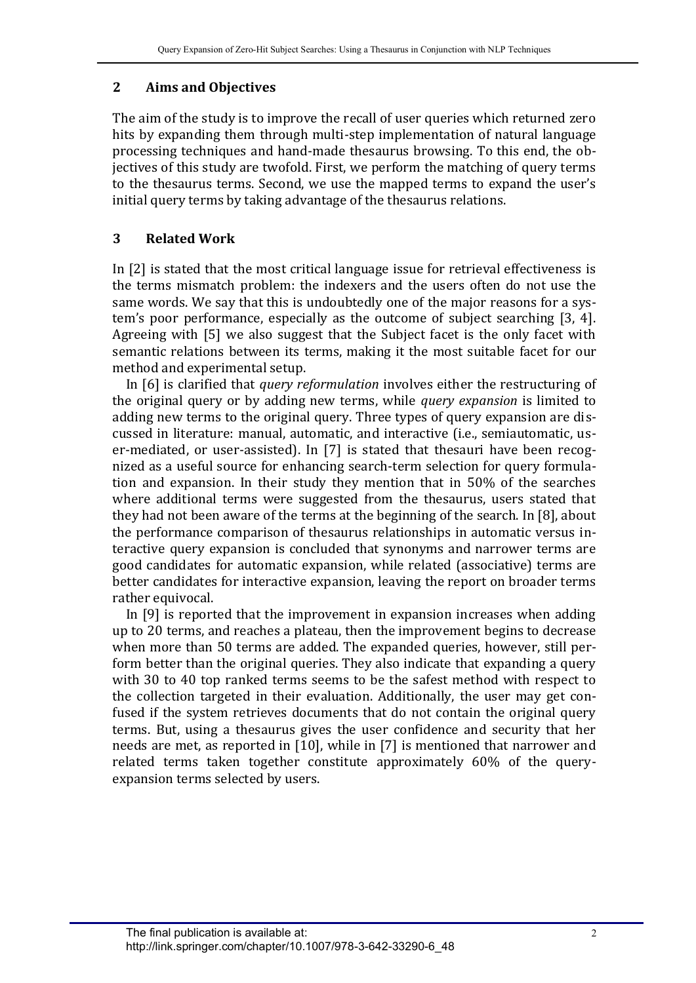#### **2 Aims and Objectives**

The aim of the study is to improve the recall of user queries which returned zero hits by expanding them through multi-step implementation of natural language processing techniques and hand-made thesaurus browsing. To this end, the objectives of this study are twofold. First, we perform the matching of query terms to the thesaurus terms. Second, we use the mapped terms to expand the user's initial query terms by taking advantage of the thesaurus relations.

#### **3 Related Work**

In [2] is stated that the most critical language issue for retrieval effectiveness is the terms mismatch problem: the indexers and the users often do not use the same words. We say that this is undoubtedly one of the major reasons for a system's poor performance, especially as the outcome of subject searching [3, 4]. Agreeing with [5] we also suggest that the Subject facet is the only facet with semantic relations between its terms, making it the most suitable facet for our method and experimental setup.

In [6] is clarified that *query reformulation* involves either the restructuring of the original query or by adding new terms, while *query expansion* is limited to adding new terms to the original query. Three types of query expansion are discussed in literature: manual, automatic, and interactive (i.e., semiautomatic, user-mediated, or user-assisted). In [7] is stated that thesauri have been recognized as a useful source for enhancing search-term selection for query formulation and expansion. In their study they mention that in 50% of the searches where additional terms were suggested from the thesaurus, users stated that they had not been aware of the terms at the beginning of the search. In [8], about the performance comparison of thesaurus relationships in automatic versus interactive query expansion is concluded that synonyms and narrower terms are good candidates for automatic expansion, while related (associative) terms are better candidates for interactive expansion, leaving the report on broader terms rather equivocal.

In [9] is reported that the improvement in expansion increases when adding up to 20 terms, and reaches a plateau, then the improvement begins to decrease when more than 50 terms are added. The expanded queries, however, still perform better than the original queries. They also indicate that expanding a query with 30 to 40 top ranked terms seems to be the safest method with respect to the collection targeted in their evaluation. Additionally, the user may get confused if the system retrieves documents that do not contain the original query terms. But, using a thesaurus gives the user confidence and security that her needs are met, as reported in [10], while in [7] is mentioned that narrower and related terms taken together constitute approximately 60% of the queryexpansion terms selected by users.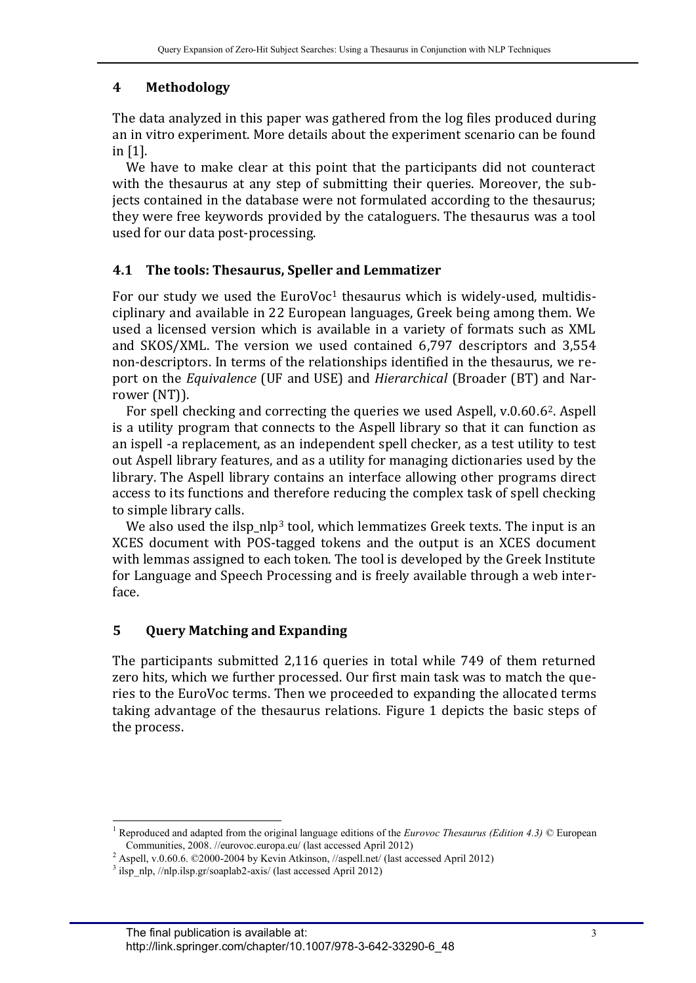### **4 Methodology**

The data analyzed in this paper was gathered from the log files produced during an in vitro experiment. More details about the experiment scenario can be found in [1].

We have to make clear at this point that the participants did not counteract with the thesaurus at any step of submitting their queries. Moreover, the subjects contained in the database were not formulated according to the thesaurus; they were free keywords provided by the cataloguers. The thesaurus was a tool used for our data post-processing.

### **4.1 The tools: Thesaurus, Speller and Lemmatizer**

For our study we used the EuroVoc<sup>1</sup> thesaurus which is widely-used, multidisciplinary and available in 22 European languages, Greek being among them. We used a licensed version which is available in a variety of formats such as XML and SKOS/XML. The version we used contained 6,797 descriptors and 3,554 non-descriptors. In terms of the relationships identified in the thesaurus, we report on the *Equivalence* (UF and USE) and *Hierarchical* (Broader (BT) and Narrower (NT)).

For spell checking and correcting the queries we used Aspell, v.0.60.62. Aspell is a utility program that connects to the Aspell library so that it can function as an ispell -a replacement, as an independent spell checker, as a test utility to test out Aspell library features, and as a utility for managing dictionaries used by the library. The Aspell library contains an interface allowing other programs direct access to its functions and therefore reducing the complex task of spell checking to simple library calls.

We also used the ilsp  $nlp<sup>3</sup>$  tool, which lemmatizes Greek texts. The input is an XCES document with POS-tagged tokens and the output is an XCES document with lemmas assigned to each token. The tool is developed by the Greek Institute for Language and Speech Processing and is freely available through a web interface.

## **5 Query Matching and Expanding**

The participants submitted 2,116 queries in total while 749 of them returned zero hits, which we further processed. Our first main task was to match the queries to the EuroVoc terms. Then we proceeded to expanding the allocated terms taking advantage of the thesaurus relations. Figure 1 depicts the basic steps of the process.

-

<sup>1</sup> Reproduced and adapted from the original language editions of the *Eurovoc Thesaurus (Edition 4.3)* © European Communities, 2008[. //eurovoc.europa.eu/](http://eurovoc.europa.eu/) (last accessed April 2012)

 $2$  Aspell, v.0.60.6. ©2000-2004 by Kevin Atkinson[, //aspell.net/](http://aspell.net/) (last accessed April 2012)

<sup>&</sup>lt;sup>3</sup> ilsp\_nlp, [//nlp.ilsp.gr/soaplab2-axis/](http://nlp.ilsp.gr/soaplab2-axis/) (last accessed April 2012)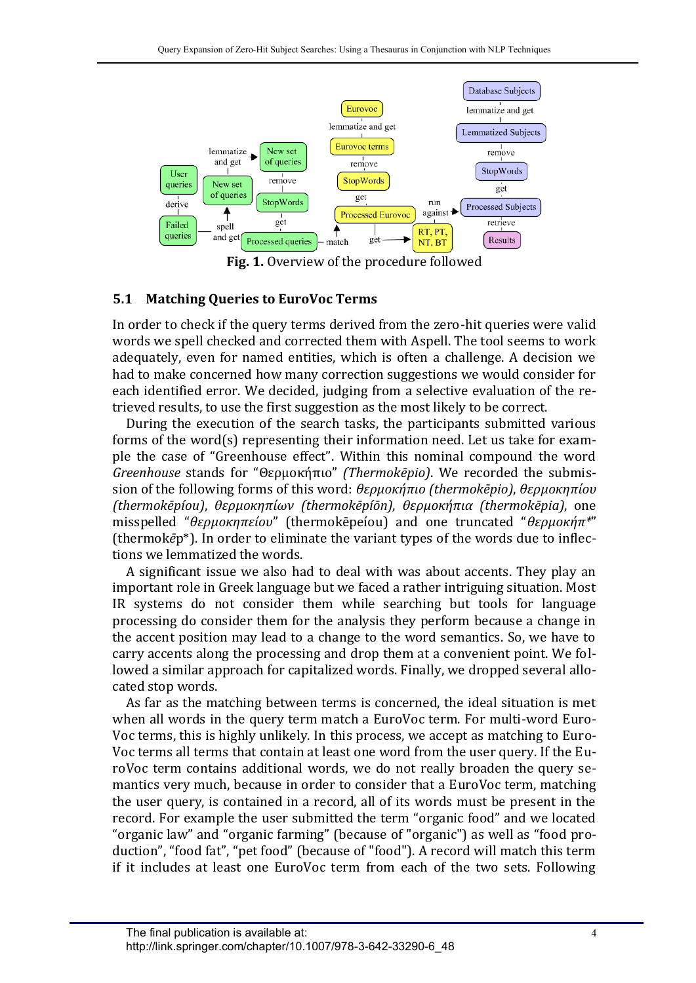

**Fig. 1.** Overview of the procedure followed

#### **5.1 Matching Queries to EuroVoc Terms**

In order to check if the query terms derived from the zero-hit queries were valid words we spell checked and corrected them with Aspell. The tool seems to work adequately, even for named entities, which is often a challenge. A decision we had to make concerned how many correction suggestions we would consider for each identified error. We decided, judging from a selective evaluation of the retrieved results, to use the first suggestion as the most likely to be correct.

During the execution of the search tasks, the participants submitted various forms of the word(s) representing their information need. Let us take for example the case of "Greenhouse effect". Within this nominal compound the word *Greenhouse* stands for "Θερμοκήπιο" *(Thermokēpio)*. We recorded the submission of the following forms of this word: *θερμοκήπιο (thermokēpio)*, *θερμοκηπίου (thermokēpíou)*, *θερμοκηπίων (thermokēpíōn)*, *θερμοκήπια (thermokēpia)*, one misspelled "*θερμοκηπείου*" (thermokēpeíou) and one truncated "*θερμοκήπ\**" (thermok*ē*p\*). In order to eliminate the variant types of the words due to inflections we lemmatized the words.

A significant issue we also had to deal with was about accents. They play an important role in Greek language but we faced a rather intriguing situation. Most IR systems do not consider them while searching but tools for language processing do consider them for the analysis they perform because a change in the accent position may lead to a change to the word semantics. So, we have to carry accents along the processing and drop them at a convenient point. We followed a similar approach for capitalized words. Finally, we dropped several allocated stop words.

As far as the matching between terms is concerned, the ideal situation is met when all words in the query term match a EuroVoc term. For multi-word Euro-Voc terms, this is highly unlikely. In this process, we accept as matching to Euro-Voc terms all terms that contain at least one word from the user query. If the EuroVoc term contains additional words, we do not really broaden the query semantics very much, because in order to consider that a EuroVoc term, matching the user query, is contained in a record, all of its words must be present in the record. For example the user submitted the term "organic food" and we located "organic law" and "organic farming" (because of "organic") as well as "food production", "food fat", "pet food" (because of "food"). A record will match this term if it includes at least one EuroVoc term from each of the two sets. Following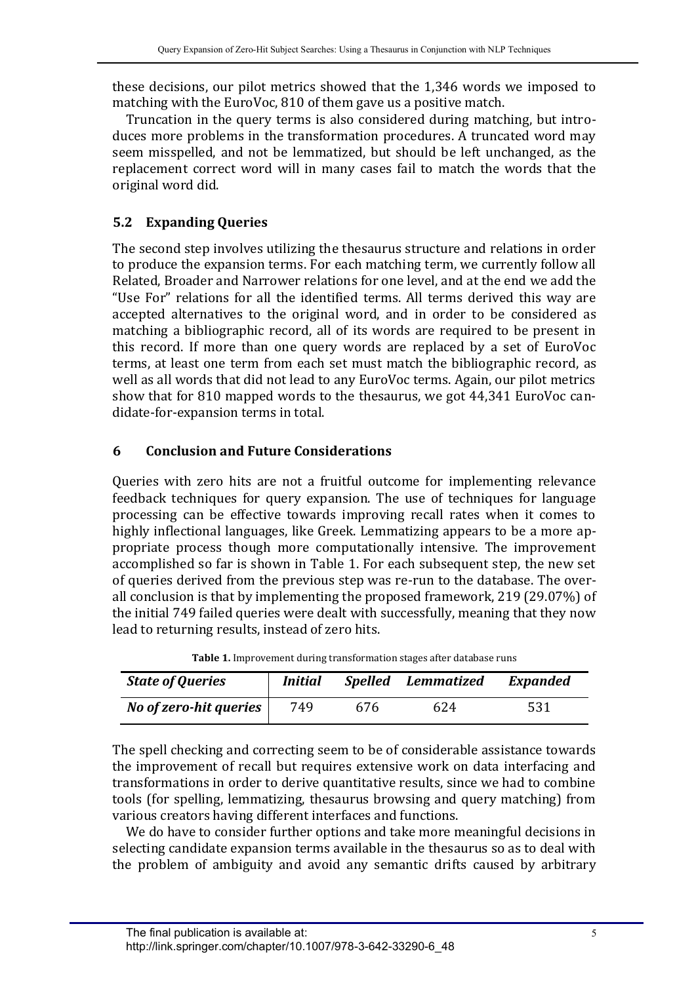these decisions, our pilot metrics showed that the 1,346 words we imposed to matching with the EuroVoc, 810 of them gave us a positive match.

Truncation in the query terms is also considered during matching, but introduces more problems in the transformation procedures. A truncated word may seem misspelled, and not be lemmatized, but should be left unchanged, as the replacement correct word will in many cases fail to match the words that the original word did.

### **5.2 Expanding Queries**

The second step involves utilizing the thesaurus structure and relations in order to produce the expansion terms. For each matching term, we currently follow all Related, Broader and Narrower relations for one level, and at the end we add the "Use For" relations for all the identified terms. All terms derived this way are accepted alternatives to the original word, and in order to be considered as matching a bibliographic record, all of its words are required to be present in this record. If more than one query words are replaced by a set of EuroVoc terms, at least one term from each set must match the bibliographic record, as well as all words that did not lead to any EuroVoc terms. Again, our pilot metrics show that for 810 mapped words to the thesaurus, we got 44,341 EuroVoc candidate-for-expansion terms in total.

### **6 Conclusion and Future Considerations**

Queries with zero hits are not a fruitful outcome for implementing relevance feedback techniques for query expansion. The use of techniques for language processing can be effective towards improving recall rates when it comes to highly inflectional languages, like Greek. Lemmatizing appears to be a more appropriate process though more computationally intensive. The improvement accomplished so far is shown in Table 1. For each subsequent step, the new set of queries derived from the previous step was re-run to the database. The overall conclusion is that by implementing the proposed framework, 219 (29.07%) of the initial 749 failed queries were dealt with successfully, meaning that they now lead to returning results, instead of zero hits.

| <b>State of Queries</b> | <i>Initial</i> |     | Spelled Lemmatized | Expanded |
|-------------------------|----------------|-----|--------------------|----------|
| No of zero-hit queries  | 749            | 676 | 624                | 531      |

**Table 1.** Improvement during transformation stages after database runs

The spell checking and correcting seem to be of considerable assistance towards the improvement of recall but requires extensive work on data interfacing and transformations in order to derive quantitative results, since we had to combine tools (for spelling, lemmatizing, thesaurus browsing and query matching) from various creators having different interfaces and functions.

We do have to consider further options and take more meaningful decisions in selecting candidate expansion terms available in the thesaurus so as to deal with the problem of ambiguity and avoid any semantic drifts caused by arbitrary